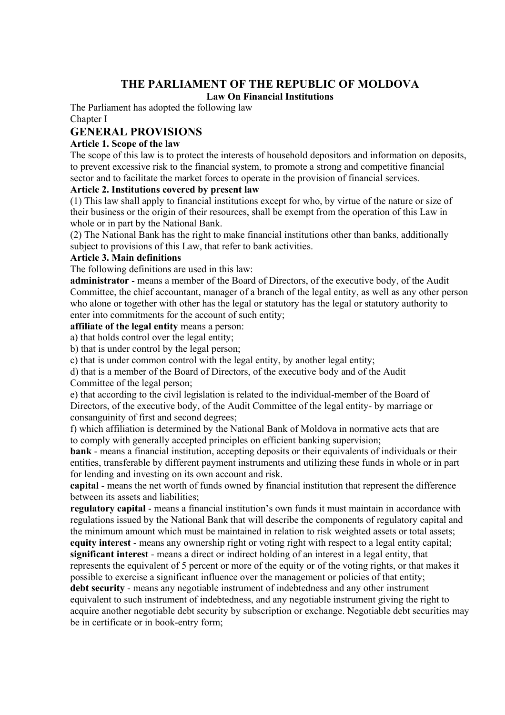# **THE PARLIAMENT OF THE REPUBLIC OF MOLDOVA**

### **Law On Financial Institutions**

The Parliament has adopted the following law Chapter I

# **GENERAL PROVISIONS**

### **Article 1. Scope of the law**

The scope of this law is to protect the interests of household depositors and information on deposits, to prevent excessive risk to the financial system, to promote a strong and competitive financial sector and to facilitate the market forces to operate in the provision of financial services.

# **Article 2. Institutions covered by present law**

(1) This law shall apply to financial institutions except for who, by virtue of the nature or size of their business or the origin of their resources, shall be exempt from the operation of this Law in whole or in part by the National Bank.

(2) The National Bank has the right to make financial institutions other than banks, additionally subject to provisions of this Law, that refer to bank activities.

### **Article 3. Main definitions**

The following definitions are used in this law:

**administrator** - means a member of the Board of Directors, of the executive body, of the Audit Committee, the chief accountant, manager of a branch of the legal entity, as well as any other person who alone or together with other has the legal or statutory has the legal or statutory authority to enter into commitments for the account of such entity;

#### **affiliate of the legal entity** means a person:

a) that holds control over the legal entity;

b) that is under control by the legal person;

c) that is under common control with the legal entity, by another legal entity;

d) that is a member of the Board of Directors, of the executive body and of the Audit

Committee of the legal person;

e) that according to the civil legislation is related to the individual-member of the Board of Directors, of the executive body, of the Audit Committee of the legal entity- by marriage or consanguinity of first and second degrees;

f) which affiliation is determined by the National Bank of Moldova in normative acts that are to comply with generally accepted principles on efficient banking supervision;

**bank** - means a financial institution, accepting deposits or their equivalents of individuals or their entities, transferable by different payment instruments and utilizing these funds in whole or in part for lending and investing on its own account and risk.

**capital** - means the net worth of funds owned by financial institution that represent the difference between its assets and liabilities;

**regulatory capital** - means a financial institution's own funds it must maintain in accordance with regulations issued by the National Bank that will describe the components of regulatory capital and the minimum amount which must be maintained in relation to risk weighted assets or total assets; **equity interest** - means any ownership right or voting right with respect to a legal entity capital; **significant interest** - means a direct or indirect holding of an interest in a legal entity, that represents the equivalent of 5 percent or more of the equity or of the voting rights, or that makes it possible to exercise a significant influence over the management or policies of that entity; **debt security** - means any negotiable instrument of indebtedness and any other instrument equivalent to such instrument of indebtedness, and any negotiable instrument giving the right to acquire another negotiable debt security by subscription or exchange. Negotiable debt securities may

be in certificate or in book-entry form;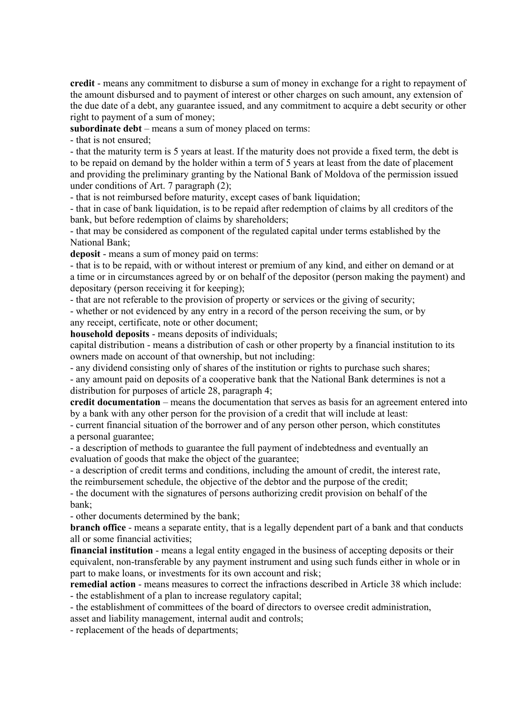**credit** - means any commitment to disburse a sum of money in exchange for a right to repayment of the amount disbursed and to payment of interest or other charges on such amount, any extension of the due date of a debt, any guarantee issued, and any commitment to acquire a debt security or other right to payment of a sum of money;

**subordinate debt** – means a sum of money placed on terms:

- that is not ensured;

- that the maturity term is 5 years at least. If the maturity does not provide a fixed term, the debt is to be repaid on demand by the holder within a term of 5 years at least from the date of placement and providing the preliminary granting by the National Bank of Moldova of the permission issued under conditions of Art. 7 paragraph (2);

- that is not reimbursed before maturity, except cases of bank liquidation;

- that in case of bank liquidation, is to be repaid after redemption of claims by all creditors of the bank, but before redemption of claims by shareholders;

- that may be considered as component of the regulated capital under terms established by the National Bank;

**deposit** - means a sum of money paid on terms:

- that is to be repaid, with or without interest or premium of any kind, and either on demand or at a time or in circumstances agreed by or on behalf of the depositor (person making the payment) and depositary (person receiving it for keeping);

- that are not referable to the provision of property or services or the giving of security;

- whether or not evidenced by any entry in a record of the person receiving the sum, or by any receipt, certificate, note or other document;

**household deposits** - means deposits of individuals;

capital distribution - means a distribution of cash or other property by a financial institution to its owners made on account of that ownership, but not including:

- any dividend consisting only of shares of the institution or rights to purchase such shares;

- any amount paid on deposits of a cooperative bank that the National Bank determines is not a distribution for purposes of article 28, paragraph 4;

**credit documentation** – means the documentation that serves as basis for an agreement entered into by a bank with any other person for the provision of a credit that will include at least:

- current financial situation of the borrower and of any person other person, which constitutes a personal guarantee;

- a description of methods to guarantee the full payment of indebtedness and eventually an evaluation of goods that make the object of the guarantee;

- a description of credit terms and conditions, including the amount of credit, the interest rate, the reimbursement schedule, the objective of the debtor and the purpose of the credit;

- the document with the signatures of persons authorizing credit provision on behalf of the bank;

- other documents determined by the bank;

**branch office** - means a separate entity, that is a legally dependent part of a bank and that conducts all or some financial activities;

**financial institution** - means a legal entity engaged in the business of accepting deposits or their equivalent, non-transferable by any payment instrument and using such funds either in whole or in part to make loans, or investments for its own account and risk;

**remedial action** - means measures to correct the infractions described in Article 38 which include: - the establishment of a plan to increase regulatory capital;

- the establishment of committees of the board of directors to oversee credit administration, asset and liability management, internal audit and controls;

- replacement of the heads of departments;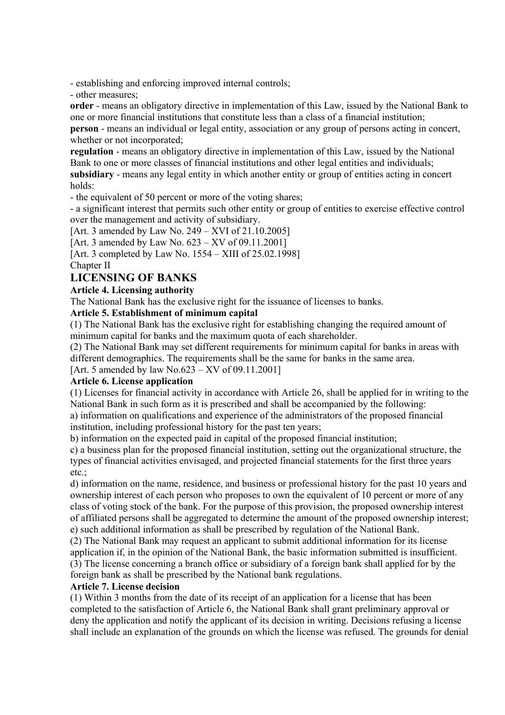- establishing and enforcing improved internal controls;

- other measures;

**order** - means an obligatory directive in implementation of this Law, issued by the National Bank to one or more financial institutions that constitute less than a class of a financial institution; **person** - means an individual or legal entity, association or any group of persons acting in concert, whether or not incorporated;

**regulation** - means an obligatory directive in implementation of this Law, issued by the National Bank to one or more classes of financial institutions and other legal entities and individuals; **subsidiary** - means any legal entity in which another entity or group of entities acting in concert holds:

- the equivalent of 50 percent or more of the voting shares;

- a significant interest that permits such other entity or group of entities to exercise effective control over the management and activity of subsidiary.

[Art. 3 amended by Law No. 249 – XVI of 21.10.2005]

[Art. 3 amended by Law No.  $623 - XV$  of 09.11.2001]

[Art. 3 completed by Law No. 1554 – XIII of 25.02.1998]

Chapter II

# **LICENSING OF BANKS**

# **Article 4. Licensing authority**

The National Bank has the exclusive right for the issuance of licenses to banks.

# **Article 5. Establishment of minimum capital**

(1) The National Bank has the exclusive right for establishing changing the required amount of minimum capital for banks and the maximum quota of each shareholder.

(2) The National Bank may set different requirements for minimum capital for banks in areas with different demographics. The requirements shall be the same for banks in the same area.

[Art. 5 amended by law  $No.623 - XV$  of 09.11.2001]

# **Article 6. License application**

(1) Licenses for financial activity in accordance with Article 26, shall be applied for in writing to the National Bank in such form as it is prescribed and shall be accompanied by the following: a) information on qualifications and experience of the administrators of the proposed financial institution, including professional history for the past ten years;

b) information on the expected paid in capital of the proposed financial institution;

c) a business plan for the proposed financial institution, setting out the organizational structure, the types of financial activities envisaged, and projected financial statements for the first three years etc.;

d) information on the name, residence, and business or professional history for the past 10 years and ownership interest of each person who proposes to own the equivalent of 10 percent or more of any class of voting stock of the bank. For the purpose of this provision, the proposed ownership interest of affiliated persons shall be aggregated to determine the amount of the proposed ownership interest; e) such additional information as shall be prescribed by regulation of the National Bank.

(2) The National Bank may request an applicant to submit additional information for its license application if, in the opinion of the National Bank, the basic information submitted is insufficient. (3) The license concerning a branch office or subsidiary of a foreign bank shall applied for by the foreign bank as shall be prescribed by the National bank regulations.

### **Article 7. License decision**

(1) Within 3 months from the date of its receipt of an application for a license that has been completed to the satisfaction of Article 6, the National Bank shall grant preliminary approval or deny the application and notify the applicant of its decision in writing. Decisions refusing a license shall include an explanation of the grounds on which the license was refused. The grounds for denial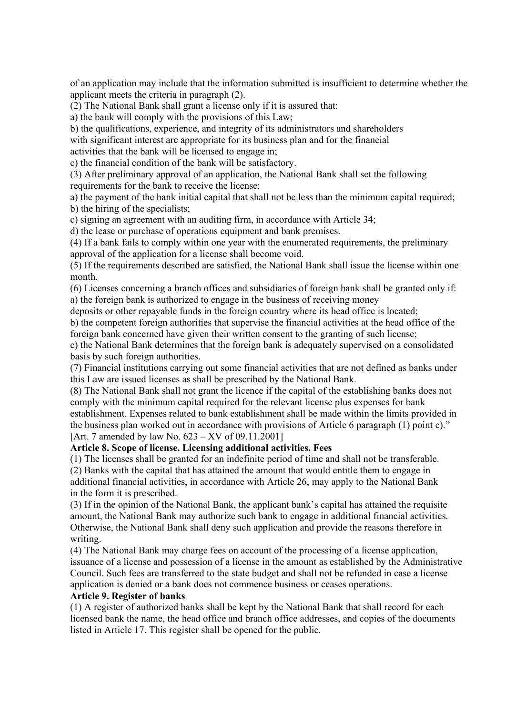of an application may include that the information submitted is insufficient to determine whether the applicant meets the criteria in paragraph (2).

(2) The National Bank shall grant a license only if it is assured that:

a) the bank will comply with the provisions of this Law;

b) the qualifications, experience, and integrity of its administrators and shareholders

with significant interest are appropriate for its business plan and for the financial

activities that the bank will be licensed to engage in;

c) the financial condition of the bank will be satisfactory.

(3) After preliminary approval of an application, the National Bank shall set the following requirements for the bank to receive the license:

a) the payment of the bank initial capital that shall not be less than the minimum capital required; b) the hiring of the specialists;

c) signing an agreement with an auditing firm, in accordance with Article 34;

d) the lease or purchase of operations equipment and bank premises.

(4) If a bank fails to comply within one year with the enumerated requirements, the preliminary approval of the application for a license shall become void.

(5) If the requirements described are satisfied, the National Bank shall issue the license within one month.

(6) Licenses concerning a branch offices and subsidiaries of foreign bank shall be granted only if: a) the foreign bank is authorized to engage in the business of receiving money

deposits or other repayable funds in the foreign country where its head office is located;

b) the competent foreign authorities that supervise the financial activities at the head office of the foreign bank concerned have given their written consent to the granting of such license;

c) the National Bank determines that the foreign bank is adequately supervised on a consolidated basis by such foreign authorities.

(7) Financial institutions carrying out some financial activities that are not defined as banks under this Law are issued licenses as shall be prescribed by the National Bank.

(8) The National Bank shall not grant the licence if the capital of the establishing banks does not comply with the minimum capital required for the relevant license plus expenses for bank establishment. Expenses related to bank establishment shall be made within the limits provided in the business plan worked out in accordance with provisions of Article 6 paragraph (1) point c)." [Art. 7 amended by law No. 623 – XV of 09.11.2001]

### **Article 8. Scope of license. Licensing additional activities. Fees**

(1) The licenses shall be granted for an indefinite period of time and shall not be transferable.

(2) Banks with the capital that has attained the amount that would entitle them to engage in additional financial activities, in accordance with Article 26, may apply to the National Bank in the form it is prescribed.

(3) If in the opinion of the National Bank, the applicant bank's capital has attained the requisite amount, the National Bank may authorize such bank to engage in additional financial activities. Otherwise, the National Bank shall deny such application and provide the reasons therefore in writing.

(4) The National Bank may charge fees on account of the processing of a license application, issuance of a license and possession of a license in the amount as established by the Administrative Council. Such fees are transferred to the state budget and shall not be refunded in case a license application is denied or a bank does not commence business or ceases operations.

### **Article 9. Register of banks**

(1) A register of authorized banks shall be kept by the National Bank that shall record for each licensed bank the name, the head office and branch office addresses, and copies of the documents listed in Article 17. This register shall be opened for the public.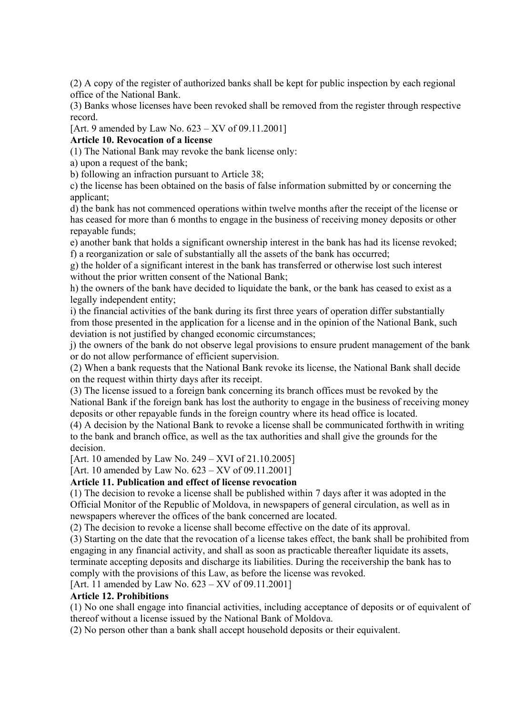(2) A copy of the register of authorized banks shall be kept for public inspection by each regional office of the National Bank.

(3) Banks whose licenses have been revoked shall be removed from the register through respective record.

[Art. 9 amended by Law No. 623 – XV of 09.11.2001]

### **Article 10. Revocation of a license**

(1) The National Bank may revoke the bank license only:

a) upon a request of the bank;

b) following an infraction pursuant to Article 38;

c) the license has been obtained on the basis of false information submitted by or concerning the applicant;

d) the bank has not commenced operations within twelve months after the receipt of the license or has ceased for more than 6 months to engage in the business of receiving money deposits or other repayable funds;

e) another bank that holds a significant ownership interest in the bank has had its license revoked; f) a reorganization or sale of substantially all the assets of the bank has occurred;

g) the holder of a significant interest in the bank has transferred or otherwise lost such interest without the prior written consent of the National Bank;

h) the owners of the bank have decided to liquidate the bank, or the bank has ceased to exist as a legally independent entity;

i) the financial activities of the bank during its first three years of operation differ substantially from those presented in the application for a license and in the opinion of the National Bank, such deviation is not justified by changed economic circumstances;

j) the owners of the bank do not observe legal provisions to ensure prudent management of the bank or do not allow performance of efficient supervision.

(2) When a bank requests that the National Bank revoke its license, the National Bank shall decide on the request within thirty days after its receipt.

(3) The license issued to a foreign bank concerning its branch offices must be revoked by the National Bank if the foreign bank has lost the authority to engage in the business of receiving money deposits or other repayable funds in the foreign country where its head office is located.

(4) A decision by the National Bank to revoke a license shall be communicated forthwith in writing to the bank and branch office, as well as the tax authorities and shall give the grounds for the decision.

[Art. 10 amended by Law No. 249 – XVI of 21.10.2005]

[Art. 10 amended by Law No. 623 – XV of 09.11.2001]

### **Article 11. Publication and effect of license revocation**

(1) The decision to revoke a license shall be published within 7 days after it was adopted in the Official Monitor of the Republic of Moldova, in newspapers of general circulation, as well as in newspapers wherever the offices of the bank concerned are located.

(2) The decision to revoke a license shall become effective on the date of its approval.

(3) Starting on the date that the revocation of a license takes effect, the bank shall be prohibited from engaging in any financial activity, and shall as soon as practicable thereafter liquidate its assets, terminate accepting deposits and discharge its liabilities. During the receivership the bank has to comply with the provisions of this Law, as before the license was revoked.

[Art. 11 amended by Law No. 623 – XV of 09.11.2001]

# **Article 12. Prohibitions**

(1) No one shall engage into financial activities, including acceptance of deposits or of equivalent of thereof without a license issued by the National Bank of Moldova.

(2) No person other than a bank shall accept household deposits or their equivalent.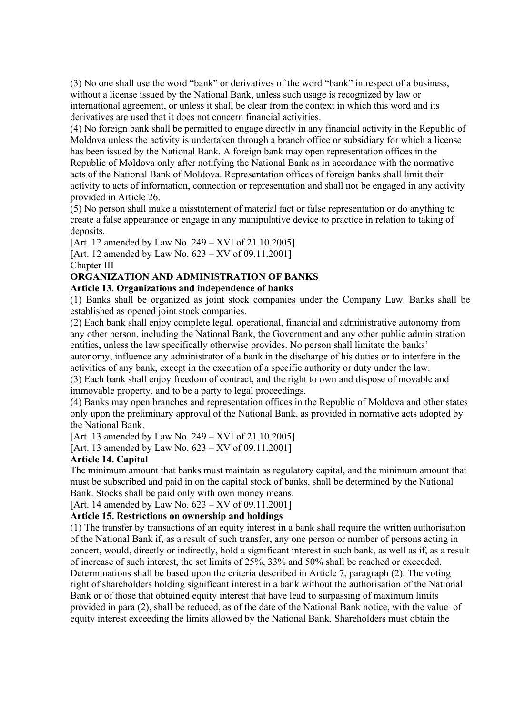(3) No one shall use the word "bank" or derivatives of the word "bank" in respect of a business, without a license issued by the National Bank, unless such usage is recognized by law or international agreement, or unless it shall be clear from the context in which this word and its derivatives are used that it does not concern financial activities.

(4) No foreign bank shall be permitted to engage directly in any financial activity in the Republic of Moldova unless the activity is undertaken through a branch office or subsidiary for which a license has been issued by the National Bank. A foreign bank may open representation offices in the Republic of Moldova only after notifying the National Bank as in accordance with the normative acts of the National Bank of Moldova. Representation offices of foreign banks shall limit their activity to acts of information, connection or representation and shall not be engaged in any activity provided in Article 26.

(5) No person shall make a misstatement of material fact or false representation or do anything to create a false appearance or engage in any manipulative device to practice in relation to taking of deposits.

[Art. 12 amended by Law No. 249 – XVI of 21.10.2005]

[Art. 12 amended by Law No. 623 – XV of 09.11.2001] Chapter III

# **ORGANIZATION AND ADMINISTRATION OF BANKS**

# **Article 13. Organizations and independence of banks**

(1) Banks shall be organized as joint stock companies under the Company Law. Banks shall be established as opened joint stock companies.

(2) Each bank shall enjoy complete legal, operational, financial and administrative autonomy from any other person, including the National Bank, the Government and any other public administration entities, unless the law specifically otherwise provides. No person shall limitate the banks' autonomy, influence any administrator of a bank in the discharge of his duties or to interfere in the activities of any bank, except in the execution of a specific authority or duty under the law.

(3) Each bank shall enjoy freedom of contract, and the right to own and dispose of movable and immovable property, and to be a party to legal proceedings.

(4) Banks may open branches and representation offices in the Republic of Moldova and other states only upon the preliminary approval of the National Bank, as provided in normative acts adopted by the National Bank.

[Art. 13 amended by Law No. 249 – XVI of 21.10.2005]

[Art. 13 amended by Law No. 623 – XV of 09.11.2001]

# **Article 14. Capital**

The minimum amount that banks must maintain as regulatory capital, and the minimum amount that must be subscribed and paid in on the capital stock of banks, shall be determined by the National Bank. Stocks shall be paid only with own money means.

[Art. 14 amended by Law No. 623 – XV of 09.11.2001]

# **Article 15. Restrictions on ownership and holdings**

(1) The transfer by transactions of an equity interest in a bank shall require the written authorisation of the National Bank if, as a result of such transfer, any one person or number of persons acting in concert, would, directly or indirectly, hold a significant interest in such bank, as well as if, as a result of increase of such interest, the set limits of 25%, 33% and 50% shall be reached or exceeded. Determinations shall be based upon the criteria described in Article 7, paragraph (2). The voting right of shareholders holding significant interest in a bank without the authorisation of the National Bank or of those that obtained equity interest that have lead to surpassing of maximum limits provided in para (2), shall be reduced, as of the date of the National Bank notice, with the value of equity interest exceeding the limits allowed by the National Bank. Shareholders must obtain the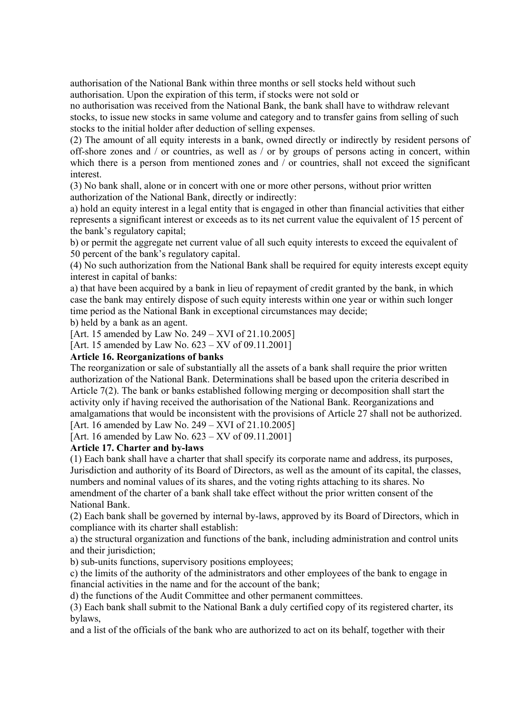authorisation of the National Bank within three months or sell stocks held without such authorisation. Upon the expiration of this term, if stocks were not sold or

no authorisation was received from the National Bank, the bank shall have to withdraw relevant stocks, to issue new stocks in same volume and category and to transfer gains from selling of such stocks to the initial holder after deduction of selling expenses.

(2) The amount of all equity interests in a bank, owned directly or indirectly by resident persons of off-shore zones and / or countries, as well as / or by groups of persons acting in concert, within which there is a person from mentioned zones and / or countries, shall not exceed the significant interest.

(3) No bank shall, alone or in concert with one or more other persons, without prior written authorization of the National Bank, directly or indirectly:

a) hold an equity interest in a legal entity that is engaged in other than financial activities that either represents a significant interest or exceeds as to its net current value the equivalent of 15 percent of the bank's regulatory capital;

b) or permit the aggregate net current value of all such equity interests to exceed the equivalent of 50 percent of the bank's regulatory capital.

(4) No such authorization from the National Bank shall be required for equity interests except equity interest in capital of banks:

a) that have been acquired by a bank in lieu of repayment of credit granted by the bank, in which case the bank may entirely dispose of such equity interests within one year or within such longer time period as the National Bank in exceptional circumstances may decide;

b) held by a bank as an agent.

[Art. 15 amended by Law No. 249 – XVI of 21.10.2005]

[Art. 15 amended by Law No. 623 – XV of 09.11.2001]

### **Article 16. Reorganizations of banks**

The reorganization or sale of substantially all the assets of a bank shall require the prior written authorization of the National Bank. Determinations shall be based upon the criteria described in Article 7(2). The bank or banks established following merging or decomposition shall start the activity only if having received the authorisation of the National Bank. Reorganizations and amalgamations that would be inconsistent with the provisions of Article 27 shall not be authorized. [Art. 16 amended by Law No. 249 – XVI of 21.10.2005]

[Art. 16 amended by Law No. 623 – XV of 09.11.2001]

### **Article 17. Charter and by-laws**

(1) Each bank shall have a charter that shall specify its corporate name and address, its purposes, Jurisdiction and authority of its Board of Directors, as well as the amount of its capital, the classes, numbers and nominal values of its shares, and the voting rights attaching to its shares. No amendment of the charter of a bank shall take effect without the prior written consent of the National Bank.

(2) Each bank shall be governed by internal by-laws, approved by its Board of Directors, which in compliance with its charter shall establish:

a) the structural organization and functions of the bank, including administration and control units and their jurisdiction:

b) sub-units functions, supervisory positions employees;

c) the limits of the authority of the administrators and other employees of the bank to engage in financial activities in the name and for the account of the bank;

d) the functions of the Audit Committee and other permanent committees.

(3) Each bank shall submit to the National Bank a duly certified copy of its registered charter, its bylaws,

and a list of the officials of the bank who are authorized to act on its behalf, together with their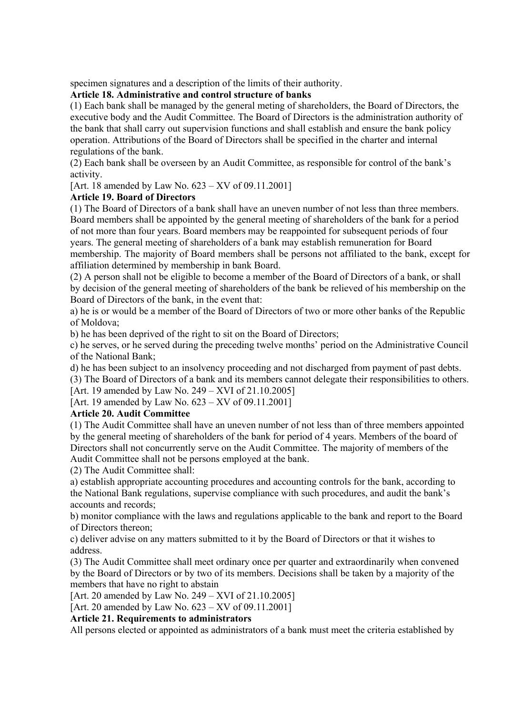specimen signatures and a description of the limits of their authority.

# **Article 18. Administrative and control structure of banks**

(1) Each bank shall be managed by the general meting of shareholders, the Board of Directors, the executive body and the Audit Committee. The Board of Directors is the administration authority of the bank that shall carry out supervision functions and shall establish and ensure the bank policy operation. Attributions of the Board of Directors shall be specified in the charter and internal regulations of the bank.

(2) Each bank shall be overseen by an Audit Committee, as responsible for control of the bank's activity.

[Art. 18 amended by Law No. 623 – XV of 09.11.2001]

# **Article 19. Board of Directors**

(1) The Board of Directors of a bank shall have an uneven number of not less than three members. Board members shall be appointed by the general meeting of shareholders of the bank for a period of not more than four years. Board members may be reappointed for subsequent periods of four years. The general meeting of shareholders of a bank may establish remuneration for Board membership. The majority of Board members shall be persons not affiliated to the bank, except for affiliation determined by membership in bank Board.

(2) A person shall not be eligible to become a member of the Board of Directors of a bank, or shall by decision of the general meeting of shareholders of the bank be relieved of his membership on the Board of Directors of the bank, in the event that:

a) he is or would be a member of the Board of Directors of two or more other banks of the Republic of Moldova;

b) he has been deprived of the right to sit on the Board of Directors;

c) he serves, or he served during the preceding twelve months' period on the Administrative Council of the National Bank;

d) he has been subject to an insolvency proceeding and not discharged from payment of past debts.

(3) The Board of Directors of a bank and its members cannot delegate their responsibilities to others.

[Art. 19 amended by Law No. 249 – XVI of 21.10.2005]

[Art. 19 amended by Law No. 623 – XV of 09.11.2001]

# **Article 20. Audit Committee**

(1) The Audit Committee shall have an uneven number of not less than of three members appointed by the general meeting of shareholders of the bank for period of 4 years. Members of the board of Directors shall not concurrently serve on the Audit Committee. The majority of members of the Audit Committee shall not be persons employed at the bank.

(2) The Audit Committee shall:

a) establish appropriate accounting procedures and accounting controls for the bank, according to the National Bank regulations, supervise compliance with such procedures, and audit the bank's accounts and records;

b) monitor compliance with the laws and regulations applicable to the bank and report to the Board of Directors thereon;

c) deliver advise on any matters submitted to it by the Board of Directors or that it wishes to address.

(3) The Audit Committee shall meet ordinary once per quarter and extraordinarily when convened by the Board of Directors or by two of its members. Decisions shall be taken by a majority of the members that have no right to abstain

[Art. 20 amended by Law No. 249 – XVI of 21.10.2005]

[Art. 20 amended by Law No. 623 – XV of 09.11.2001]

### **Article 21. Requirements to administrators**

All persons elected or appointed as administrators of a bank must meet the criteria established by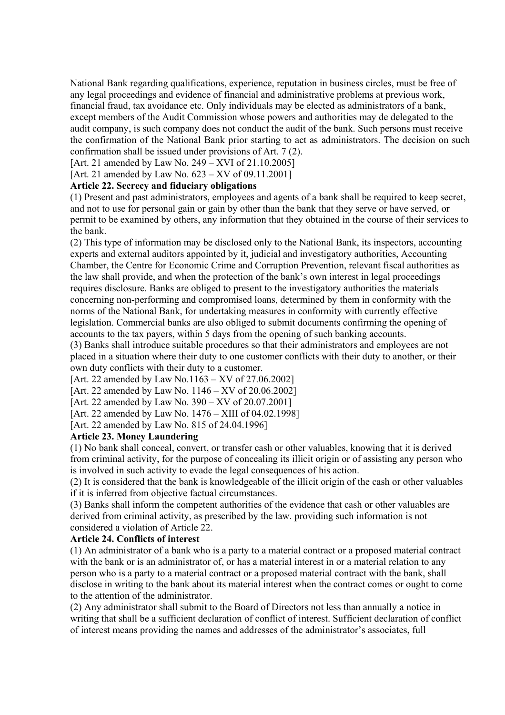National Bank regarding qualifications, experience, reputation in business circles, must be free of any legal proceedings and evidence of financial and administrative problems at previous work, financial fraud, tax avoidance etc. Only individuals may be elected as administrators of a bank, except members of the Audit Commission whose powers and authorities may de delegated to the audit company, is such company does not conduct the audit of the bank. Such persons must receive the confirmation of the National Bank prior starting to act as administrators. The decision on such confirmation shall be issued under provisions of Art. 7 (2).

[Art. 21 amended by Law No. 249 – XVI of 21.10.2005]

[Art. 21 amended by Law No. 623 – XV of 09.11.2001]

### **Article 22. Secrecy and fiduciary obligations**

(1) Present and past administrators, employees and agents of a bank shall be required to keep secret, and not to use for personal gain or gain by other than the bank that they serve or have served, or permit to be examined by others, any information that they obtained in the course of their services to the bank.

(2) This type of information may be disclosed only to the National Bank, its inspectors, accounting experts and external auditors appointed by it, judicial and investigatory authorities, Accounting Chamber, the Centre for Economic Crime and Corruption Prevention, relevant fiscal authorities as the law shall provide, and when the protection of the bank's own interest in legal proceedings requires disclosure. Banks are obliged to present to the investigatory authorities the materials concerning non-performing and compromised loans, determined by them in conformity with the norms of the National Bank, for undertaking measures in conformity with currently effective legislation. Commercial banks are also obliged to submit documents confirming the opening of accounts to the tax payers, within 5 days from the opening of such banking accounts.

(3) Banks shall introduce suitable procedures so that their administrators and employees are not placed in a situation where their duty to one customer conflicts with their duty to another, or their own duty conflicts with their duty to a customer.

[Art. 22 amended by Law No.1163 – XV of 27.06.2002]

[Art. 22 amended by Law No. 1146 – XV of 20.06.2002]

[Art. 22 amended by Law No. 390 – XV of 20.07.2001]

[Art. 22 amended by Law No. 1476 – XIII of 04.02.1998]

[Art. 22 amended by Law No. 815 of 24.04.1996]

### **Article 23. Money Laundering**

(1) No bank shall conceal, convert, or transfer cash or other valuables, knowing that it is derived from criminal activity, for the purpose of concealing its illicit origin or of assisting any person who is involved in such activity to evade the legal consequences of his action.

(2) It is considered that the bank is knowledgeable of the illicit origin of the cash or other valuables if it is inferred from objective factual circumstances.

(3) Banks shall inform the competent authorities of the evidence that cash or other valuables are derived from criminal activity, as prescribed by the law. providing such information is not considered a violation of Article 22.

#### **Article 24. Conflicts of interest**

(1) An administrator of a bank who is a party to a material contract or a proposed material contract with the bank or is an administrator of, or has a material interest in or a material relation to any person who is a party to a material contract or a proposed material contract with the bank, shall disclose in writing to the bank about its material interest when the contract comes or ought to come to the attention of the administrator.

(2) Any administrator shall submit to the Board of Directors not less than annually a notice in writing that shall be a sufficient declaration of conflict of interest. Sufficient declaration of conflict of interest means providing the names and addresses of the administrator's associates, full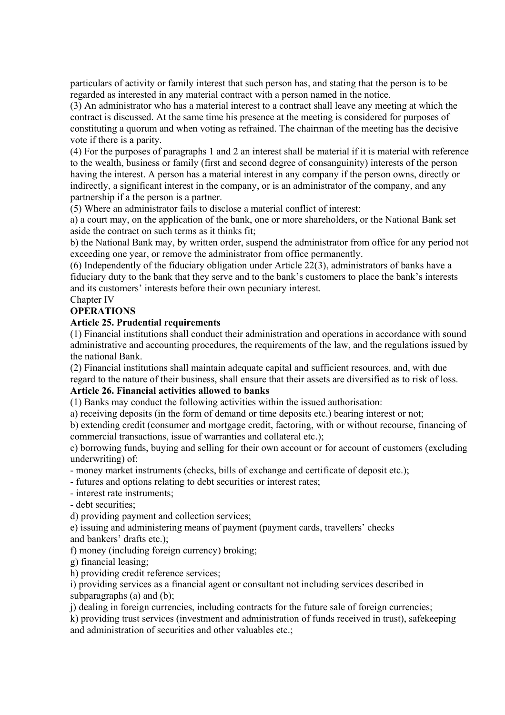particulars of activity or family interest that such person has, and stating that the person is to be regarded as interested in any material contract with a person named in the notice.

(3) An administrator who has a material interest to a contract shall leave any meeting at which the contract is discussed. At the same time his presence at the meeting is considered for purposes of constituting a quorum and when voting as refrained. The chairman of the meeting has the decisive vote if there is a parity.

(4) For the purposes of paragraphs 1 and 2 an interest shall be material if it is material with reference to the wealth, business or family (first and second degree of consanguinity) interests of the person having the interest. A person has a material interest in any company if the person owns, directly or indirectly, a significant interest in the company, or is an administrator of the company, and any partnership if a the person is a partner.

(5) Where an administrator fails to disclose a material conflict of interest:

a) a court may, on the application of the bank, one or more shareholders, or the National Bank set aside the contract on such terms as it thinks fit;

b) the National Bank may, by written order, suspend the administrator from office for any period not exceeding one year, or remove the administrator from office permanently.

(6) Independently of the fiduciary obligation under Article 22(3), administrators of banks have a fiduciary duty to the bank that they serve and to the bank's customers to place the bank's interests and its customers' interests before their own pecuniary interest.

# Chapter IV

# **OPERATIONS**

### **Article 25. Prudential requirements**

(1) Financial institutions shall conduct their administration and operations in accordance with sound administrative and accounting procedures, the requirements of the law, and the regulations issued by the national Bank.

(2) Financial institutions shall maintain adequate capital and sufficient resources, and, with due regard to the nature of their business, shall ensure that their assets are diversified as to risk of loss.

### **Article 26. Financial activities allowed to banks**

(1) Banks may conduct the following activities within the issued authorisation:

a) receiving deposits (in the form of demand or time deposits etc.) bearing interest or not;

b) extending credit (consumer and mortgage credit, factoring, with or without recourse, financing of commercial transactions, issue of warranties and collateral etc.);

c) borrowing funds, buying and selling for their own account or for account of customers (excluding underwriting) of:

- money market instruments (checks, bills of exchange and certificate of deposit etc.);

- futures and options relating to debt securities or interest rates;

- interest rate instruments;

- debt securities;

d) providing payment and collection services;

e) issuing and administering means of payment (payment cards, travellers' checks

and bankers' drafts etc.);

f) money (including foreign currency) broking;

g) financial leasing;

h) providing credit reference services;

i) providing services as a financial agent or consultant not including services described in subparagraphs (a) and (b);

j) dealing in foreign currencies, including contracts for the future sale of foreign currencies;

k) providing trust services (investment and administration of funds received in trust), safekeeping and administration of securities and other valuables etc.;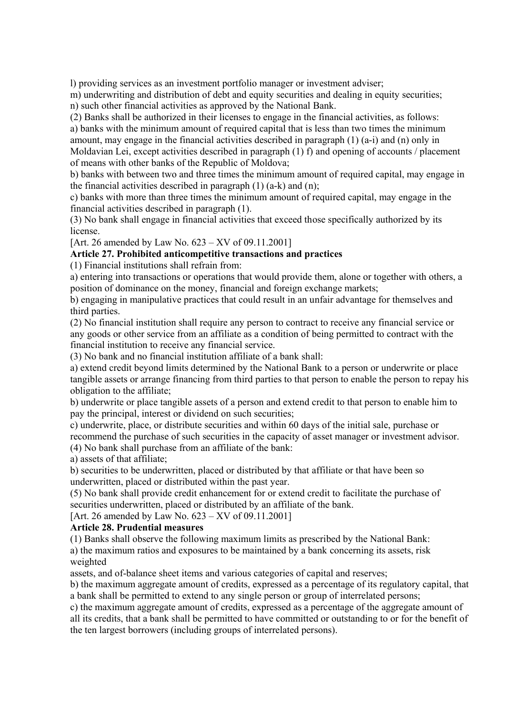l) providing services as an investment portfolio manager or investment adviser;

m) underwriting and distribution of debt and equity securities and dealing in equity securities; n) such other financial activities as approved by the National Bank.

(2) Banks shall be authorized in their licenses to engage in the financial activities, as follows: a) banks with the minimum amount of required capital that is less than two times the minimum amount, may engage in the financial activities described in paragraph  $(1)$   $(a-i)$  and  $(n)$  only in Moldavian Lei, except activities described in paragraph (1) f) and opening of accounts / placement of means with other banks of the Republic of Moldova;

b) banks with between two and three times the minimum amount of required capital, may engage in the financial activities described in paragraph  $(1)$   $(a-k)$  and  $(n)$ ;

c) banks with more than three times the minimum amount of required capital, may engage in the financial activities described in paragraph (1).

(3) No bank shall engage in financial activities that exceed those specifically authorized by its license.

[Art. 26 amended by Law No. 623 – XV of 09.11.2001]

### **Article 27. Prohibited anticompetitive transactions and practices**

(1) Financial institutions shall refrain from:

a) entering into transactions or operations that would provide them, alone or together with others, a position of dominance on the money, financial and foreign exchange markets;

b) engaging in manipulative practices that could result in an unfair advantage for themselves and third parties.

(2) No financial institution shall require any person to contract to receive any financial service or any goods or other service from an affiliate as a condition of being permitted to contract with the financial institution to receive any financial service.

(3) No bank and no financial institution affiliate of a bank shall:

a) extend credit beyond limits determined by the National Bank to a person or underwrite or place tangible assets or arrange financing from third parties to that person to enable the person to repay his obligation to the affiliate;

b) underwrite or place tangible assets of a person and extend credit to that person to enable him to pay the principal, interest or dividend on such securities;

c) underwrite, place, or distribute securities and within 60 days of the initial sale, purchase or recommend the purchase of such securities in the capacity of asset manager or investment advisor. (4) No bank shall purchase from an affiliate of the bank:

a) assets of that affiliate;

b) securities to be underwritten, placed or distributed by that affiliate or that have been so underwritten, placed or distributed within the past year.

(5) No bank shall provide credit enhancement for or extend credit to facilitate the purchase of securities underwritten, placed or distributed by an affiliate of the bank.

[Art. 26 amended by Law No. 623 – XV of 09.11.2001]

### **Article 28. Prudential measures**

(1) Banks shall observe the following maximum limits as prescribed by the National Bank: a) the maximum ratios and exposures to be maintained by a bank concerning its assets, risk weighted

assets, and of-balance sheet items and various categories of capital and reserves;

b) the maximum aggregate amount of credits, expressed as a percentage of its regulatory capital, that a bank shall be permitted to extend to any single person or group of interrelated persons;

c) the maximum aggregate amount of credits, expressed as a percentage of the aggregate amount of all its credits, that a bank shall be permitted to have committed or outstanding to or for the benefit of the ten largest borrowers (including groups of interrelated persons).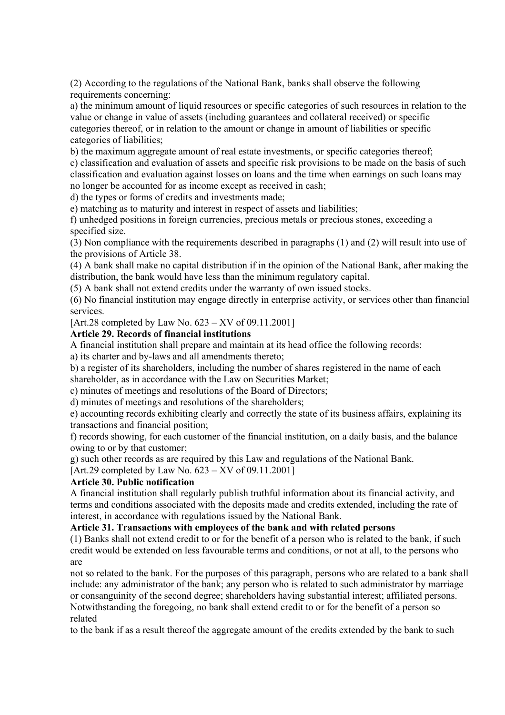(2) According to the regulations of the National Bank, banks shall observe the following requirements concerning:

a) the minimum amount of liquid resources or specific categories of such resources in relation to the value or change in value of assets (including guarantees and collateral received) or specific categories thereof, or in relation to the amount or change in amount of liabilities or specific categories of liabilities;

b) the maximum aggregate amount of real estate investments, or specific categories thereof;

c) classification and evaluation of assets and specific risk provisions to be made on the basis of such classification and evaluation against losses on loans and the time when earnings on such loans may no longer be accounted for as income except as received in cash;

d) the types or forms of credits and investments made;

e) matching as to maturity and interest in respect of assets and liabilities;

f) unhedged positions in foreign currencies, precious metals or precious stones, exceeding a specified size.

(3) Non compliance with the requirements described in paragraphs (1) and (2) will result into use of the provisions of Article 38.

(4) A bank shall make no capital distribution if in the opinion of the National Bank, after making the distribution, the bank would have less than the minimum regulatory capital.

(5) A bank shall not extend credits under the warranty of own issued stocks.

(6) No financial institution may engage directly in enterprise activity, or services other than financial services.

[Art.28 completed by Law No.  $623 - XV$  of 09.11.2001]

### **Article 29. Records of financial institutions**

A financial institution shall prepare and maintain at its head office the following records:

a) its charter and by-laws and all amendments thereto;

b) a register of its shareholders, including the number of shares registered in the name of each shareholder, as in accordance with the Law on Securities Market;

c) minutes of meetings and resolutions of the Board of Directors;

d) minutes of meetings and resolutions of the shareholders;

e) accounting records exhibiting clearly and correctly the state of its business affairs, explaining its transactions and financial position;

f) records showing, for each customer of the financial institution, on a daily basis, and the balance owing to or by that customer;

g) such other records as are required by this Law and regulations of the National Bank.

[Art.29 completed by Law No. 623 – XV of 09.11.2001]

### **Article 30. Public notification**

A financial institution shall regularly publish truthful information about its financial activity, and terms and conditions associated with the deposits made and credits extended, including the rate of interest, in accordance with regulations issued by the National Bank.

# **Article 31. Transactions with employees of the bank and with related persons**

(1) Banks shall not extend credit to or for the benefit of a person who is related to the bank, if such credit would be extended on less favourable terms and conditions, or not at all, to the persons who are

not so related to the bank. For the purposes of this paragraph, persons who are related to a bank shall include: any administrator of the bank; any person who is related to such administrator by marriage or consanguinity of the second degree; shareholders having substantial interest; affiliated persons. Notwithstanding the foregoing, no bank shall extend credit to or for the benefit of a person so related

to the bank if as a result thereof the aggregate amount of the credits extended by the bank to such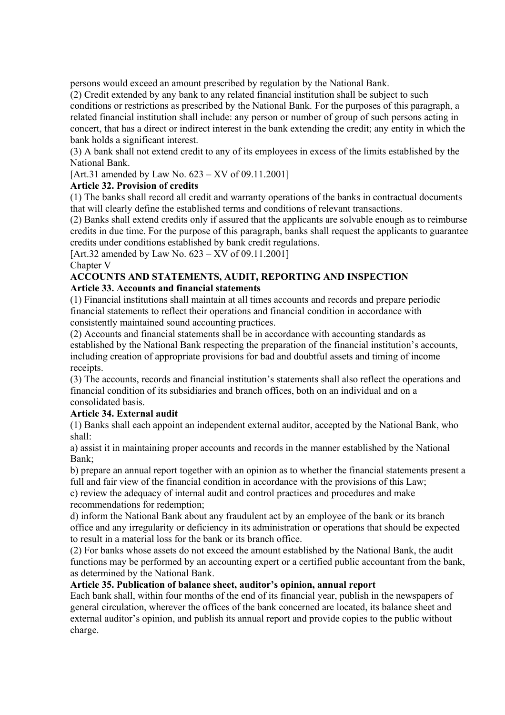persons would exceed an amount prescribed by regulation by the National Bank.

(2) Credit extended by any bank to any related financial institution shall be subject to such conditions or restrictions as prescribed by the National Bank. For the purposes of this paragraph, a related financial institution shall include: any person or number of group of such persons acting in concert, that has a direct or indirect interest in the bank extending the credit; any entity in which the bank holds a significant interest.

(3) A bank shall not extend credit to any of its employees in excess of the limits established by the National Bank.

[Art.31 amended by Law No. 623 – XV of 09.11.2001]

# **Article 32. Provision of credits**

(1) The banks shall record all credit and warranty operations of the banks in contractual documents that will clearly define the established terms and conditions of relevant transactions.

(2) Banks shall extend credits only if assured that the applicants are solvable enough as to reimburse credits in due time. For the purpose of this paragraph, banks shall request the applicants to guarantee credits under conditions established by bank credit regulations.

[Art.32 amended by Law No. 623 – XV of 09.11.2001]

Chapter V

### **ACCOUNTS AND STATEMENTS, AUDIT, REPORTING AND INSPECTION Article 33. Accounts and financial statements**

(1) Financial institutions shall maintain at all times accounts and records and prepare periodic financial statements to reflect their operations and financial condition in accordance with consistently maintained sound accounting practices.

(2) Accounts and financial statements shall be in accordance with accounting standards as established by the National Bank respecting the preparation of the financial institution's accounts, including creation of appropriate provisions for bad and doubtful assets and timing of income receipts.

(3) The accounts, records and financial institution's statements shall also reflect the operations and financial condition of its subsidiaries and branch offices, both on an individual and on a consolidated basis.

# **Article 34. External audit**

(1) Banks shall each appoint an independent external auditor, accepted by the National Bank, who shall:

a) assist it in maintaining proper accounts and records in the manner established by the National Bank;

b) prepare an annual report together with an opinion as to whether the financial statements present a full and fair view of the financial condition in accordance with the provisions of this Law;

c) review the adequacy of internal audit and control practices and procedures and make recommendations for redemption;

d) inform the National Bank about any fraudulent act by an employee of the bank or its branch office and any irregularity or deficiency in its administration or operations that should be expected to result in a material loss for the bank or its branch office.

(2) For banks whose assets do not exceed the amount established by the National Bank, the audit functions may be performed by an accounting expert or a certified public accountant from the bank, as determined by the National Bank.

# **Article 35. Publication of balance sheet, auditor's opinion, annual report**

Each bank shall, within four months of the end of its financial year, publish in the newspapers of general circulation, wherever the offices of the bank concerned are located, its balance sheet and external auditor's opinion, and publish its annual report and provide copies to the public without charge.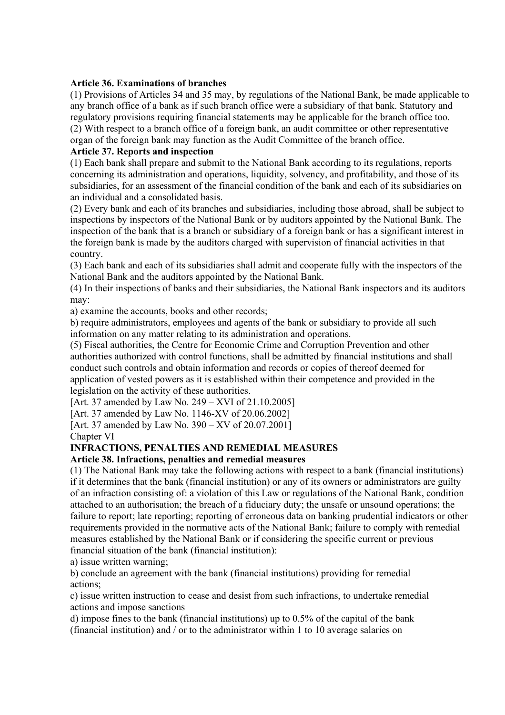### **Article 36. Examinations of branches**

(1) Provisions of Articles 34 and 35 may, by regulations of the National Bank, be made applicable to any branch office of a bank as if such branch office were a subsidiary of that bank. Statutory and regulatory provisions requiring financial statements may be applicable for the branch office too. (2) With respect to a branch office of a foreign bank, an audit committee or other representative organ of the foreign bank may function as the Audit Committee of the branch office.

### **Article 37. Reports and inspection**

(1) Each bank shall prepare and submit to the National Bank according to its regulations, reports concerning its administration and operations, liquidity, solvency, and profitability, and those of its subsidiaries, for an assessment of the financial condition of the bank and each of its subsidiaries on an individual and a consolidated basis.

(2) Every bank and each of its branches and subsidiaries, including those abroad, shall be subject to inspections by inspectors of the National Bank or by auditors appointed by the National Bank. The inspection of the bank that is a branch or subsidiary of a foreign bank or has a significant interest in the foreign bank is made by the auditors charged with supervision of financial activities in that country.

(3) Each bank and each of its subsidiaries shall admit and cooperate fully with the inspectors of the National Bank and the auditors appointed by the National Bank.

(4) In their inspections of banks and their subsidiaries, the National Bank inspectors and its auditors may:

a) examine the accounts, books and other records;

b) require administrators, employees and agents of the bank or subsidiary to provide all such information on any matter relating to its administration and operations.

(5) Fiscal authorities, the Centre for Economic Crime and Corruption Prevention and other authorities authorized with control functions, shall be admitted by financial institutions and shall conduct such controls and obtain information and records or copies of thereof deemed for application of vested powers as it is established within their competence and provided in the legislation on the activity of these authorities.

[Art. 37 amended by Law No. 249 – XVI of 21.10.2005]

[Art. 37 amended by Law No. 1146-XV of 20.06.2002]

[Art. 37 amended by Law No. 390 – XV of 20.07.2001]

Chapter VI

# **INFRACTIONS, PENALTIES AND REMEDIAL MEASURES**

# **Article 38. Infractions, penalties and remedial measures**

(1) The National Bank may take the following actions with respect to a bank (financial institutions) if it determines that the bank (financial institution) or any of its owners or administrators are guilty of an infraction consisting of: a violation of this Law or regulations of the National Bank, condition attached to an authorisation; the breach of a fiduciary duty; the unsafe or unsound operations; the failure to report; late reporting; reporting of erroneous data on banking prudential indicators or other requirements provided in the normative acts of the National Bank; failure to comply with remedial measures established by the National Bank or if considering the specific current or previous financial situation of the bank (financial institution):

a) issue written warning;

b) conclude an agreement with the bank (financial institutions) providing for remedial actions;

c) issue written instruction to cease and desist from such infractions, to undertake remedial actions and impose sanctions

d) impose fines to the bank (financial institutions) up to 0.5% of the capital of the bank (financial institution) and / or to the administrator within 1 to 10 average salaries on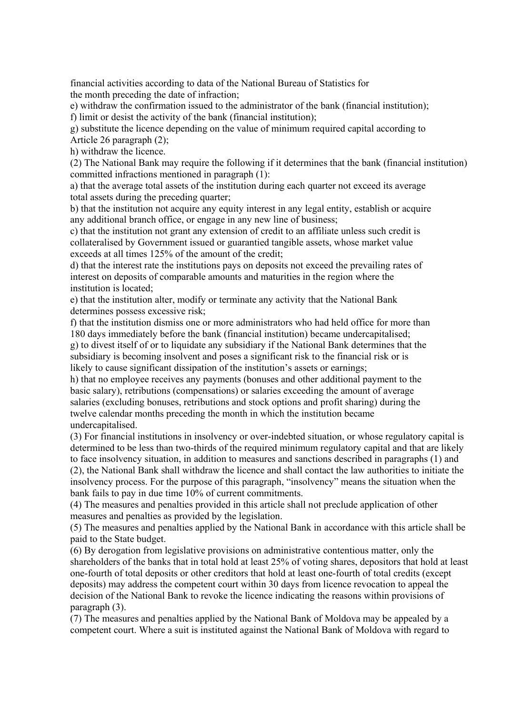financial activities according to data of the National Bureau of Statistics for the month preceding the date of infraction;

e) withdraw the confirmation issued to the administrator of the bank (financial institution); f) limit or desist the activity of the bank (financial institution);

g) substitute the licence depending on the value of minimum required capital according to Article 26 paragraph (2);

h) withdraw the licence.

(2) The National Bank may require the following if it determines that the bank (financial institution) committed infractions mentioned in paragraph (1):

a) that the average total assets of the institution during each quarter not exceed its average total assets during the preceding quarter;

b) that the institution not acquire any equity interest in any legal entity, establish or acquire any additional branch office, or engage in any new line of business;

c) that the institution not grant any extension of credit to an affiliate unless such credit is collateralised by Government issued or guarantied tangible assets, whose market value exceeds at all times 125% of the amount of the credit;

d) that the interest rate the institutions pays on deposits not exceed the prevailing rates of interest on deposits of comparable amounts and maturities in the region where the institution is located;

e) that the institution alter, modify or terminate any activity that the National Bank determines possess excessive risk;

f) that the institution dismiss one or more administrators who had held office for more than 180 days immediately before the bank (financial institution) became undercapitalised;

g) to divest itself of or to liquidate any subsidiary if the National Bank determines that the subsidiary is becoming insolvent and poses a significant risk to the financial risk or is likely to cause significant dissipation of the institution's assets or earnings;

h) that no employee receives any payments (bonuses and other additional payment to the basic salary), retributions (compensations) or salaries exceeding the amount of average salaries (excluding bonuses, retributions and stock options and profit sharing) during the twelve calendar months preceding the month in which the institution became undercapitalised.

(3) For financial institutions in insolvency or over-indebted situation, or whose regulatory capital is determined to be less than two-thirds of the required minimum regulatory capital and that are likely to face insolvency situation, in addition to measures and sanctions described in paragraphs (1) and (2), the National Bank shall withdraw the licence and shall contact the law authorities to initiate the insolvency process. For the purpose of this paragraph, "insolvency" means the situation when the bank fails to pay in due time 10% of current commitments.

(4) The measures and penalties provided in this article shall not preclude application of other measures and penalties as provided by the legislation.

(5) The measures and penalties applied by the National Bank in accordance with this article shall be paid to the State budget.

(6) By derogation from legislative provisions on administrative contentious matter, only the shareholders of the banks that in total hold at least 25% of voting shares, depositors that hold at least one-fourth of total deposits or other creditors that hold at least one-fourth of total credits (except deposits) may address the competent court within 30 days from licence revocation to appeal the decision of the National Bank to revoke the licence indicating the reasons within provisions of paragraph (3).

(7) The measures and penalties applied by the National Bank of Moldova may be appealed by a competent court. Where a suit is instituted against the National Bank of Moldova with regard to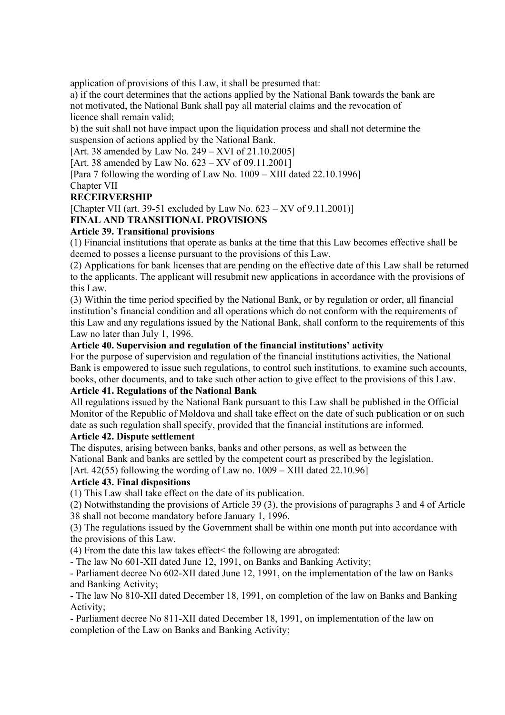application of provisions of this Law, it shall be presumed that:

a) if the court determines that the actions applied by the National Bank towards the bank are not motivated, the National Bank shall pay all material claims and the revocation of licence shall remain valid;

b) the suit shall not have impact upon the liquidation process and shall not determine the suspension of actions applied by the National Bank.

[Art. 38 amended by Law No. 249 – XVI of 21.10.2005]

[Art. 38 amended by Law No. 623 – XV of 09.11.2001]

[Para 7 following the wording of Law No. 1009 – XIII dated 22.10.1996]

### Chapter VII

### **RECEIRVERSHIP**

[Chapter VII (art. 39-51 excluded by Law No.  $623 - XV$  of 9.11.2001)]

# **FINAL AND TRANSITIONAL PROVISIONS**

# **Article 39. Transitional provisions**

(1) Financial institutions that operate as banks at the time that this Law becomes effective shall be deemed to posses a license pursuant to the provisions of this Law.

(2) Applications for bank licenses that are pending on the effective date of this Law shall be returned to the applicants. The applicant will resubmit new applications in accordance with the provisions of this Law.

(3) Within the time period specified by the National Bank, or by regulation or order, all financial institution's financial condition and all operations which do not conform with the requirements of this Law and any regulations issued by the National Bank, shall conform to the requirements of this Law no later than July 1, 1996.

### **Article 40. Supervision and regulation of the financial institutions' activity**

For the purpose of supervision and regulation of the financial institutions activities, the National Bank is empowered to issue such regulations, to control such institutions, to examine such accounts, books, other documents, and to take such other action to give effect to the provisions of this Law.

### **Article 41. Regulations of the National Bank**

All regulations issued by the National Bank pursuant to this Law shall be published in the Official Monitor of the Republic of Moldova and shall take effect on the date of such publication or on such date as such regulation shall specify, provided that the financial institutions are informed.

### **Article 42. Dispute settlement**

The disputes, arising between banks, banks and other persons, as well as between the National Bank and banks are settled by the competent court as prescribed by the legislation. [Art. 42(55) following the wording of Law no.  $1009 - XIII$  dated 22.10.96]

# **Article 43. Final dispositions**

(1) This Law shall take effect on the date of its publication.

(2) Notwithstanding the provisions of Article 39 (3), the provisions of paragraphs 3 and 4 of Article 38 shall not become mandatory before January 1, 1996.

(3) The regulations issued by the Government shall be within one month put into accordance with the provisions of this Law.

(4) From the date this law takes effect< the following are abrogated:

- The law No 601-XII dated June 12, 1991, on Banks and Banking Activity;

- Parliament decree No 602-XII dated June 12, 1991, on the implementation of the law on Banks and Banking Activity;

- The law No 810-XII dated December 18, 1991, on completion of the law on Banks and Banking Activity;

- Parliament decree No 811-XII dated December 18, 1991, on implementation of the law on completion of the Law on Banks and Banking Activity;